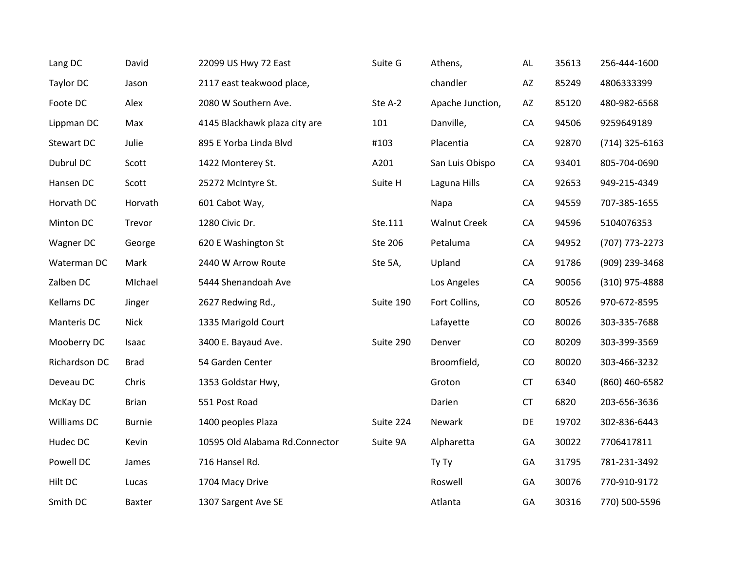| Lang DC       | David         | 22099 US Hwy 72 East           | Suite G   | Athens,             | AL                     | 35613 | 256-444-1600     |
|---------------|---------------|--------------------------------|-----------|---------------------|------------------------|-------|------------------|
| Taylor DC     | Jason         | 2117 east teakwood place,      |           | chandler            | $\mathsf{A}\mathsf{Z}$ | 85249 | 4806333399       |
| Foote DC      | Alex          | 2080 W Southern Ave.           | Ste A-2   | Apache Junction,    | AZ                     | 85120 | 480-982-6568     |
| Lippman DC    | Max           | 4145 Blackhawk plaza city are  | 101       | Danville,           | CA                     | 94506 | 9259649189       |
| Stewart DC    | Julie         | 895 E Yorba Linda Blvd         | #103      | Placentia           | CA                     | 92870 | $(714)$ 325-6163 |
| Dubrul DC     | Scott         | 1422 Monterey St.              | A201      | San Luis Obispo     | CA                     | 93401 | 805-704-0690     |
| Hansen DC     | Scott         | 25272 McIntyre St.             | Suite H   | Laguna Hills        | CA                     | 92653 | 949-215-4349     |
| Horvath DC    | Horvath       | 601 Cabot Way,                 |           | Napa                | CA                     | 94559 | 707-385-1655     |
| Minton DC     | Trevor        | 1280 Civic Dr.                 | Ste.111   | <b>Walnut Creek</b> | CA                     | 94596 | 5104076353       |
| Wagner DC     | George        | 620 E Washington St            | Ste 206   | Petaluma            | CA                     | 94952 | (707) 773-2273   |
| Waterman DC   | Mark          | 2440 W Arrow Route             | Ste 5A,   | Upland              | CA                     | 91786 | (909) 239-3468   |
| Zalben DC     | MIchael       | 5444 Shenandoah Ave            |           | Los Angeles         | CA                     | 90056 | (310) 975-4888   |
| Kellams DC    | Jinger        | 2627 Redwing Rd.,              | Suite 190 | Fort Collins,       | CO                     | 80526 | 970-672-8595     |
| Manteris DC   | <b>Nick</b>   | 1335 Marigold Court            |           | Lafayette           | CO                     | 80026 | 303-335-7688     |
| Mooberry DC   | Isaac         | 3400 E. Bayaud Ave.            | Suite 290 | Denver              | CO                     | 80209 | 303-399-3569     |
| Richardson DC | <b>Brad</b>   | 54 Garden Center               |           | Broomfield,         | CO                     | 80020 | 303-466-3232     |
| Deveau DC     | Chris         | 1353 Goldstar Hwy,             |           | Groton              | <b>CT</b>              | 6340  | (860) 460-6582   |
| McKay DC      | <b>Brian</b>  | 551 Post Road                  |           | Darien              | <b>CT</b>              | 6820  | 203-656-3636     |
| Williams DC   | <b>Burnie</b> | 1400 peoples Plaza             | Suite 224 | Newark              | DE                     | 19702 | 302-836-6443     |
| Hudec DC      | Kevin         | 10595 Old Alabama Rd.Connector | Suite 9A  | Alpharetta          | GA                     | 30022 | 7706417811       |
| Powell DC     | James         | 716 Hansel Rd.                 |           | Ty Ty               | GA                     | 31795 | 781-231-3492     |
| Hilt DC       | Lucas         | 1704 Macy Drive                |           | Roswell             | GA                     | 30076 | 770-910-9172     |
| Smith DC      | Baxter        | 1307 Sargent Ave SE            |           | Atlanta             | GA                     | 30316 | 770) 500-5596    |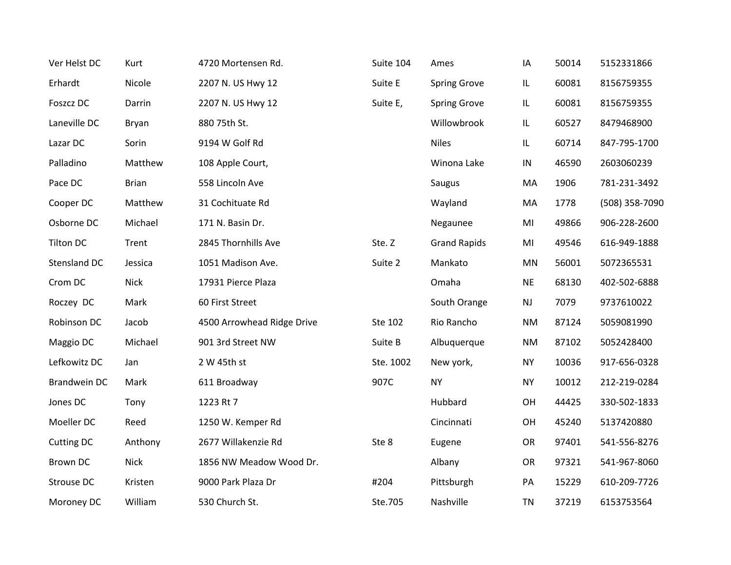| Ver Helst DC      | Kurt         | 4720 Mortensen Rd.         | Suite 104 | Ames                | IA        | 50014 | 5152331866     |
|-------------------|--------------|----------------------------|-----------|---------------------|-----------|-------|----------------|
| Erhardt           | Nicole       | 2207 N. US Hwy 12          | Suite E   | <b>Spring Grove</b> | IL.       | 60081 | 8156759355     |
| Foszcz DC         | Darrin       | 2207 N. US Hwy 12          | Suite E,  | <b>Spring Grove</b> | IL.       | 60081 | 8156759355     |
| Laneville DC      | Bryan        | 880 75th St.               |           | Willowbrook         | IL        | 60527 | 8479468900     |
| Lazar DC          | Sorin        | 9194 W Golf Rd             |           | <b>Niles</b>        | IL.       | 60714 | 847-795-1700   |
| Palladino         | Matthew      | 108 Apple Court,           |           | Winona Lake         | IN        | 46590 | 2603060239     |
| Pace DC           | <b>Brian</b> | 558 Lincoln Ave            |           | Saugus              | MA        | 1906  | 781-231-3492   |
| Cooper DC         | Matthew      | 31 Cochituate Rd           |           | Wayland             | MA        | 1778  | (508) 358-7090 |
| Osborne DC        | Michael      | 171 N. Basin Dr.           |           | Negaunee            | MI        | 49866 | 906-228-2600   |
| <b>Tilton DC</b>  | Trent        | 2845 Thornhills Ave        | Ste. Z    | <b>Grand Rapids</b> | MI        | 49546 | 616-949-1888   |
| Stensland DC      | Jessica      | 1051 Madison Ave.          | Suite 2   | Mankato             | MN        | 56001 | 5072365531     |
| Crom DC           | <b>Nick</b>  | 17931 Pierce Plaza         |           | Omaha               | <b>NE</b> | 68130 | 402-502-6888   |
| Roczey DC         | Mark         | 60 First Street            |           | South Orange        | <b>NJ</b> | 7079  | 9737610022     |
| Robinson DC       | Jacob        | 4500 Arrowhead Ridge Drive | Ste 102   | Rio Rancho          | <b>NM</b> | 87124 | 5059081990     |
| Maggio DC         | Michael      | 901 3rd Street NW          | Suite B   | Albuquerque         | <b>NM</b> | 87102 | 5052428400     |
| Lefkowitz DC      | Jan          | 2 W 45th st                | Ste. 1002 | New york,           | <b>NY</b> | 10036 | 917-656-0328   |
| Brandwein DC      | Mark         | 611 Broadway               | 907C      | <b>NY</b>           | NY        | 10012 | 212-219-0284   |
| Jones DC          | Tony         | 1223 Rt 7                  |           | Hubbard             | OH        | 44425 | 330-502-1833   |
| Moeller DC        | Reed         | 1250 W. Kemper Rd          |           | Cincinnati          | OH        | 45240 | 5137420880     |
| <b>Cutting DC</b> | Anthony      | 2677 Willakenzie Rd        | Ste 8     | Eugene              | OR        | 97401 | 541-556-8276   |
| Brown DC          | <b>Nick</b>  | 1856 NW Meadow Wood Dr.    |           | Albany              | OR        | 97321 | 541-967-8060   |
| Strouse DC        | Kristen      | 9000 Park Plaza Dr         | #204      | Pittsburgh          | PA        | 15229 | 610-209-7726   |
| Moroney DC        | William      | 530 Church St.             | Ste.705   | Nashville           | <b>TN</b> | 37219 | 6153753564     |